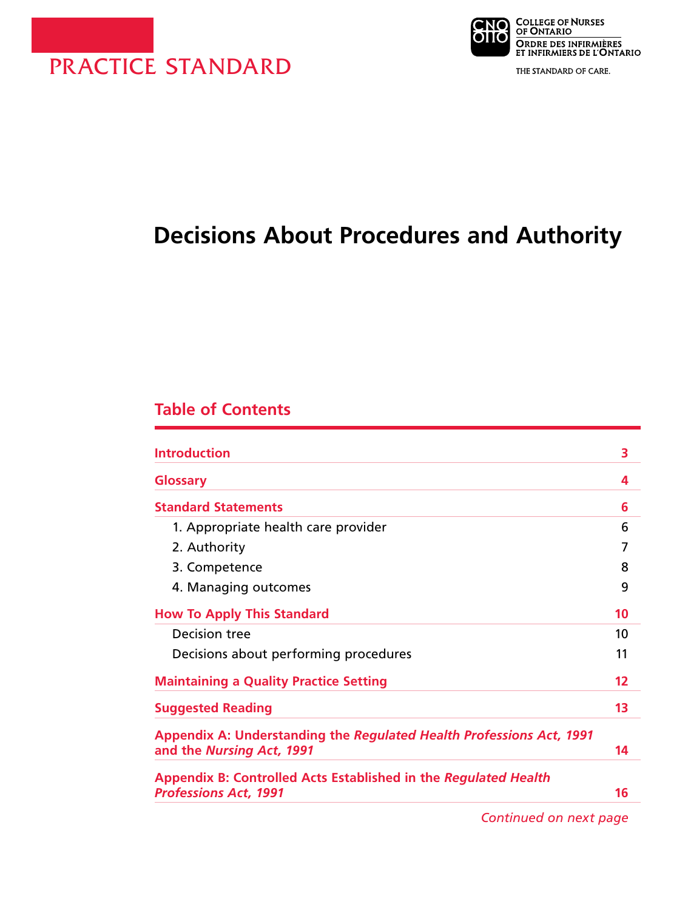



THE STANDARD OF CARE.

# **Decisions About Procedures and Authority**

# **Table of Contents**

| <b>Introduction</b>                                                  | 3  |
|----------------------------------------------------------------------|----|
| <b>Glossary</b>                                                      | 4  |
| <b>Standard Statements</b>                                           | 6  |
| 1. Appropriate health care provider                                  | 6  |
| 2. Authority                                                         | 7  |
| 3. Competence                                                        | 8  |
| 4. Managing outcomes                                                 | 9  |
| <b>How To Apply This Standard</b>                                    | 10 |
| Decision tree                                                        | 10 |
| Decisions about performing procedures                                | 11 |
| <b>Maintaining a Quality Practice Setting</b>                        | 12 |
| <b>Suggested Reading</b>                                             | 13 |
| Appendix A: Understanding the Regulated Health Professions Act, 1991 |    |
| and the Nursing Act, 1991                                            | 14 |
| Appendix B: Controlled Acts Established in the Regulated Health      |    |
| <b>Professions Act, 1991</b>                                         | 16 |

*Continued on next page*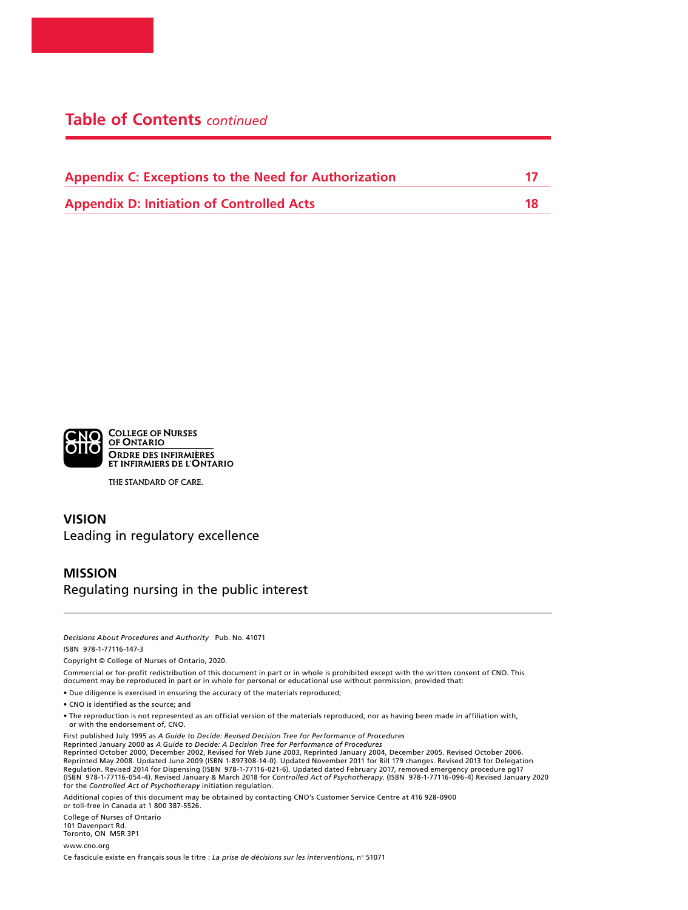# **Table of Contents** *continued*

| <b>Appendix C: Exceptions to the Need for Authorization</b> |    |
|-------------------------------------------------------------|----|
| <b>Appendix D: Initiation of Controlled Acts</b>            | 18 |



THE STANDARD OF CARE.

#### **VISION** Leading in regulatory excellence

#### **MISSION** Regulating nursing in the public interest

*Decisions About Procedures and Authority* Pub. No. 41071

ISBN 978-1-77116-147-3

Copyright © College of Nurses of Ontario, 2020.

Commercial or for-profit redistribution of this document in part or in whole is prohibited except with the written consent of CNO. This document may be reproduced in part or in whole for personal or educational use without permission, provided that:

- Due diligence is exercised in ensuring the accuracy of the materials reproduced;
- CNO is identified as the source; and
- The reproduction is not represented as an official version of the materials reproduced, nor as having been made in affiliation with, or with the endorsement of, CNO.

First published July 1995 as *A Guide to Decide: Revised Decision Tree for Performance of Procedures* Reprinted January 2000 as *A Guide to Decide: A Decision Tree for Performance of Procedures*

Reprinted October 2000, December 2002, Revised for Web June 2003, Reprinted January 2004, December 2005. Revised October 2006. Reprinted May 2008. Updated June 2009 (ISBN 1-897308-14-0). Updated November 2011 for Bill 179 changes. Revised 2013 for Delegation Regulation. Revised 2014 for Dispensing (ISBN 978-1-77116-021-6). Updated dated February 2017, removed emergency procedure pg17 (ISBN 978-1-77116-054-4). Revised January & March 2018 for *Controlled Act of Psychotherapy*. (ISBN 978-1-77116-096-4) Revised January 2020 for the *Controlled Act of Psychotherapy* initiation regulation.

Additional copies of this document may be obtained by contacting CNO's Customer Service Centre at 416 928-0900 or toll-free in Canada at 1 800 387-5526.

College of Nurses of Ontario 101 Davenport Rd. Toronto, ON M5R 3P1 www.cno.org

Ce fascicule existe en français sous le titre : *La prise de décisions sur les interventions*, nº 51071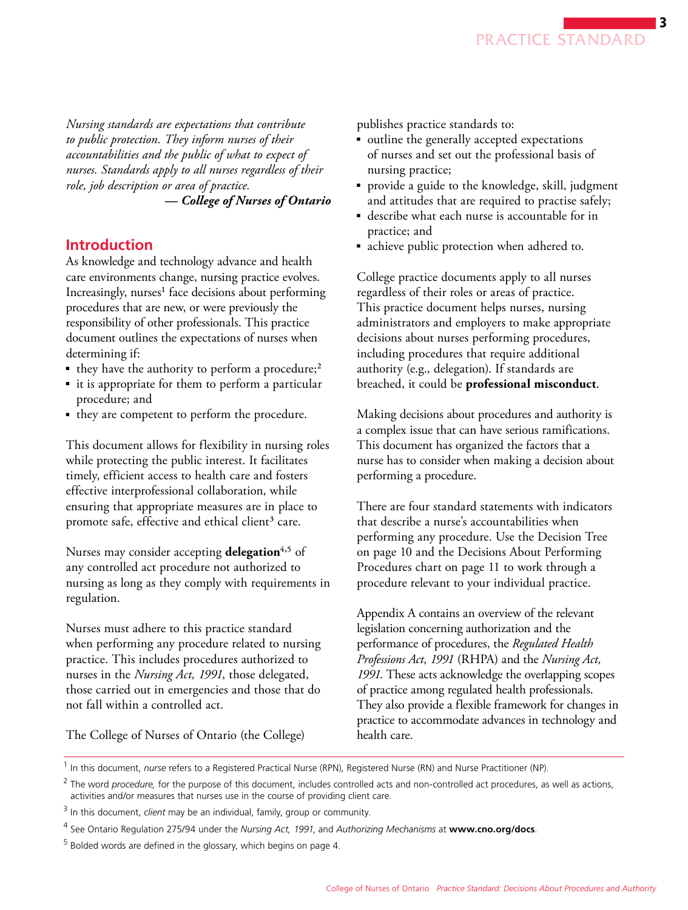*Nursing standards are expectations that contribute to public protection. They inform nurses of their accountabilities and the public of what to expect of nurses. Standards apply to all nurses regardless of their role, job description or area of practice.* 

*— College of Nurses of Ontario*

# **Introduction**

As knowledge and technology advance and health care environments change, nursing practice evolves. Increasingly, nurses<sup>1</sup> face decisions about performing procedures that are new, or were previously the responsibility of other professionals. This practice document outlines the expectations of nurses when determining if:

- they have the authority to perform a procedure;<sup>2</sup>
- it is appropriate for them to perform a particular procedure; and
- they are competent to perform the procedure.

This document allows for flexibility in nursing roles while protecting the public interest. It facilitates timely, efficient access to health care and fosters effective interprofessional collaboration, while ensuring that appropriate measures are in place to promote safe, effective and ethical client<sup>3</sup> care.

Nurses may consider accepting **delegation**<sup>4,5</sup> of any controlled act procedure not authorized to nursing as long as they comply with requirements in regulation.

Nurses must adhere to this practice standard when performing any procedure related to nursing practice. This includes procedures authorized to nurses in the *Nursing Act, 1991*, those delegated, those carried out in emergencies and those that do not fall within a controlled act.

publishes practice standards to:

- outline the generally accepted expectations of nurses and set out the professional basis of nursing practice;
- provide a guide to the knowledge, skill, judgment and attitudes that are required to practise safely;
- describe what each nurse is accountable for in practice; and
- achieve public protection when adhered to.

College practice documents apply to all nurses regardless of their roles or areas of practice. This practice document helps nurses, nursing administrators and employers to make appropriate decisions about nurses performing procedures, including procedures that require additional authority (e.g., delegation). If standards are breached, it could be **professional misconduct**.

Making decisions about procedures and authority is a complex issue that can have serious ramifications. This document has organized the factors that a nurse has to consider when making a decision about performing a procedure.

There are four standard statements with indicators that describe a nurse's accountabilities when performing any procedure. Use the Decision Tree on page 10 and the Decisions About Performing Procedures chart on page 11 to work through a procedure relevant to your individual practice.

Appendix A contains an overview of the relevant legislation concerning authorization and the performance of procedures, the *Regulated Health Professions Act, 1991* (RHPA) and the *Nursing Act, 1991*. These acts acknowledge the overlapping scopes of practice among regulated health professionals. They also provide a flexible framework for changes in practice to accommodate advances in technology and health care.

The College of Nurses of Ontario (the College)

<sup>&</sup>lt;sup>1</sup> In this document, *nurse* refers to a Registered Practical Nurse (RPN), Registered Nurse (RN) and Nurse Practitioner (NP).

<sup>&</sup>lt;sup>2</sup> The word *procedure*, for the purpose of this document, includes controlled acts and non-controlled act procedures, as well as actions, activities and/or measures that nurses use in the course of providing client care.

<sup>3</sup> In this document, *client* may be an individual, family, group or community.

<sup>4</sup> See Ontario Regulation 275/94 under the *Nursing Act, 1991*, and *Authorizing Mechanisms* at **www.cno.org/docs**.

 $5$  Bolded words are defined in the glossary, which begins on page 4.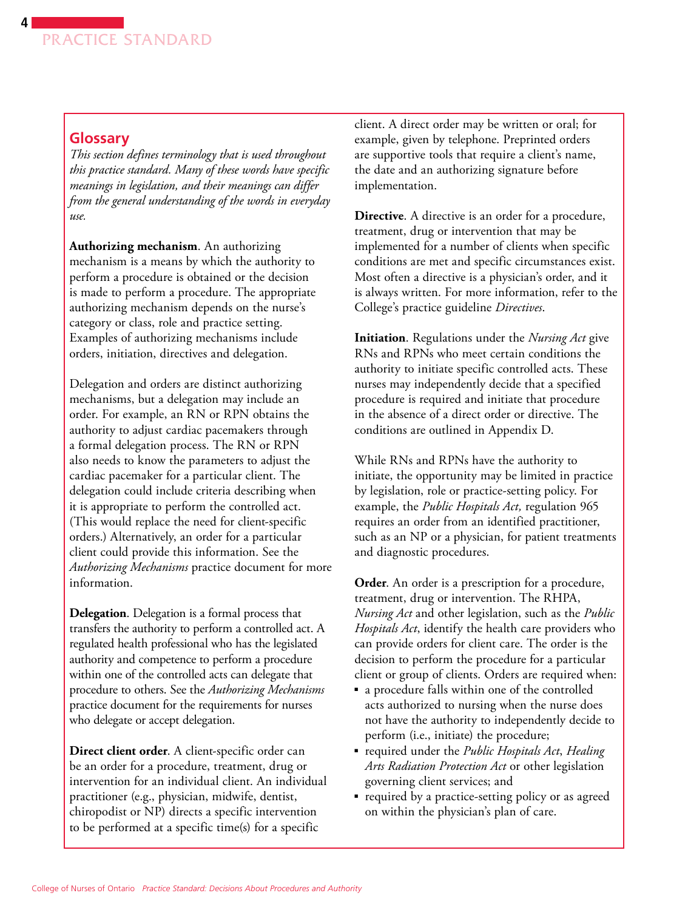### **Glossary**

*This section defines terminology that is used throughout this practice standard. Many of these words have specific meanings in legislation, and their meanings can differ from the general understanding of the words in everyday use.*

**Authorizing mechanism**. An authorizing mechanism is a means by which the authority to perform a procedure is obtained or the decision is made to perform a procedure. The appropriate authorizing mechanism depends on the nurse's category or class, role and practice setting. Examples of authorizing mechanisms include orders, initiation, directives and delegation.

Delegation and orders are distinct authorizing mechanisms, but a delegation may include an order. For example, an RN or RPN obtains the authority to adjust cardiac pacemakers through a formal delegation process. The RN or RPN also needs to know the parameters to adjust the cardiac pacemaker for a particular client. The delegation could include criteria describing when it is appropriate to perform the controlled act. (This would replace the need for client-specific orders.) Alternatively, an order for a particular client could provide this information. See the *Authorizing Mechanisms* practice document for more information.

**Delegation**. Delegation is a formal process that transfers the authority to perform a controlled act. A regulated health professional who has the legislated authority and competence to perform a procedure within one of the controlled acts can delegate that procedure to others. See the *Authorizing Mechanisms* practice document for the requirements for nurses who delegate or accept delegation.

**Direct client order**. A client-specific order can be an order for a procedure, treatment, drug or intervention for an individual client. An individual practitioner (e.g., physician, midwife, dentist, chiropodist or NP) directs a specific intervention to be performed at a specific time(s) for a specific

client. A direct order may be written or oral; for example, given by telephone. Preprinted orders are supportive tools that require a client's name, the date and an authorizing signature before implementation.

**Directive**. A directive is an order for a procedure, treatment, drug or intervention that may be implemented for a number of clients when specific conditions are met and specific circumstances exist. Most often a directive is a physician's order, and it is always written. For more information, refer to the College's practice guideline *Directives*.

**Initiation**. Regulations under the *Nursing Act* give RNs and RPNs who meet certain conditions the authority to initiate specific controlled acts. These nurses may independently decide that a specified procedure is required and initiate that procedure in the absence of a direct order or directive. The conditions are outlined in Appendix D.

While RNs and RPNs have the authority to initiate, the opportunity may be limited in practice by legislation, role or practice-setting policy. For example, the *Public Hospitals Act,* regulation 965 requires an order from an identified practitioner, such as an NP or a physician, for patient treatments and diagnostic procedures.

**Order**. An order is a prescription for a procedure, treatment, drug or intervention. The RHPA, *Nursing Act* and other legislation, such as the *Public Hospitals Act*, identify the health care providers who can provide orders for client care. The order is the decision to perform the procedure for a particular client or group of clients. Orders are required when:

- a procedure falls within one of the controlled acts authorized to nursing when the nurse does not have the authority to independently decide to perform (i.e., initiate) the procedure;
- required under the *Public Hospitals Act*, *Healing Arts Radiation Protection Act* or other legislation governing client services; and
- required by a practice-setting policy or as agreed on within the physician's plan of care.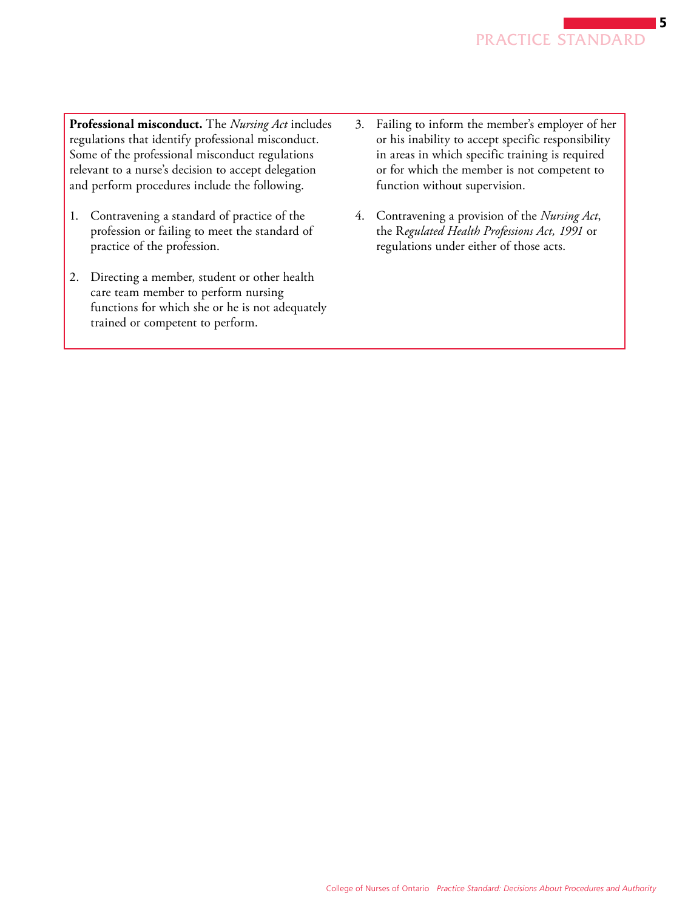**Professional misconduct.** The *Nursing Act* includes regulations that identify professional misconduct. Some of the professional misconduct regulations relevant to a nurse's decision to accept delegation and perform procedures include the following.

- 1. Contravening a standard of practice of the profession or failing to meet the standard of practice of the profession.
- 2. Directing a member, student or other health care team member to perform nursing functions for which she or he is not adequately trained or competent to perform.
- 3. Failing to inform the member's employer of her or his inability to accept specific responsibility in areas in which specific training is required or for which the member is not competent to function without supervision.
- 4. Contravening a provision of the *Nursing Act*, the R*egulated Health Professions Act, 1991* or regulations under either of those acts.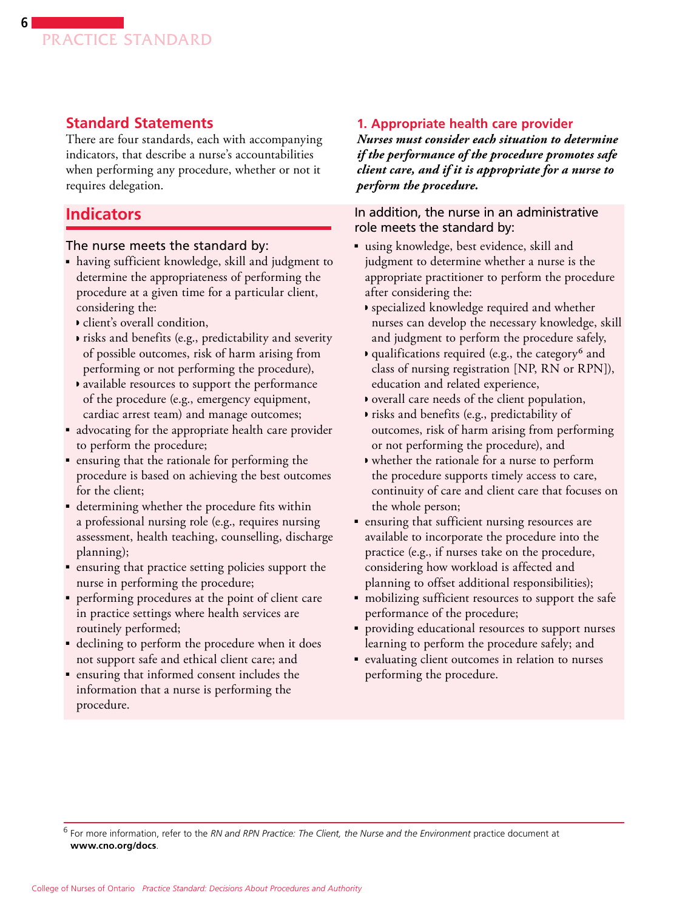

# **Standard Statements**

There are four standards, each with accompanying indicators, that describe a nurse's accountabilities when performing any procedure, whether or not it requires delegation.

### **Indicators**

#### The nurse meets the standard by:

- having sufficient knowledge, skill and judgment to determine the appropriateness of performing the procedure at a given time for a particular client, considering the:
	- ◗ client's overall condition,
	- ◗ risks and benefits (e.g., predictability and severity of possible outcomes, risk of harm arising from performing or not performing the procedure),
	- ◗ available resources to support the performance of the procedure (e.g., emergency equipment, cardiac arrest team) and manage outcomes;
- advocating for the appropriate health care provider to perform the procedure;
- ensuring that the rationale for performing the procedure is based on achieving the best outcomes for the client;
- determining whether the procedure fits within a professional nursing role (e.g., requires nursing assessment, health teaching, counselling, discharge planning);
- ensuring that practice setting policies support the nurse in performing the procedure;
- performing procedures at the point of client care in practice settings where health services are routinely performed;
- declining to perform the procedure when it does not support safe and ethical client care; and
- ensuring that informed consent includes the information that a nurse is performing the procedure.

#### **1. Appropriate health care provider**

*Nurses must consider each situation to determine if the performance of the procedure promotes safe client care, and if it is appropriate for a nurse to perform the procedure.*

#### In addition, the nurse in an administrative role meets the standard by:

- using knowledge, best evidence, skill and judgment to determine whether a nurse is the appropriate practitioner to perform the procedure after considering the:
	- ◗ specialized knowledge required and whether nurses can develop the necessary knowledge, skill and judgment to perform the procedure safely,
	- ◗ qualifications required (e.g., the category6 and class of nursing registration [NP, RN or RPN]), education and related experience,
	- ◗ overall care needs of the client population,
	- ◗ risks and benefits (e.g., predictability of outcomes, risk of harm arising from performing or not performing the procedure), and
	- ◗ whether the rationale for a nurse to perform the procedure supports timely access to care, continuity of care and client care that focuses on the whole person;
- ensuring that sufficient nursing resources are available to incorporate the procedure into the practice (e.g., if nurses take on the procedure, considering how workload is affected and planning to offset additional responsibilities);
- mobilizing sufficient resources to support the safe performance of the procedure;
- providing educational resources to support nurses learning to perform the procedure safely; and
- evaluating client outcomes in relation to nurses performing the procedure.

<sup>6</sup> For more information, refer to the *RN and RPN Practice: The Client, the Nurse and the Environment* practice document at **www.cno.org/docs**.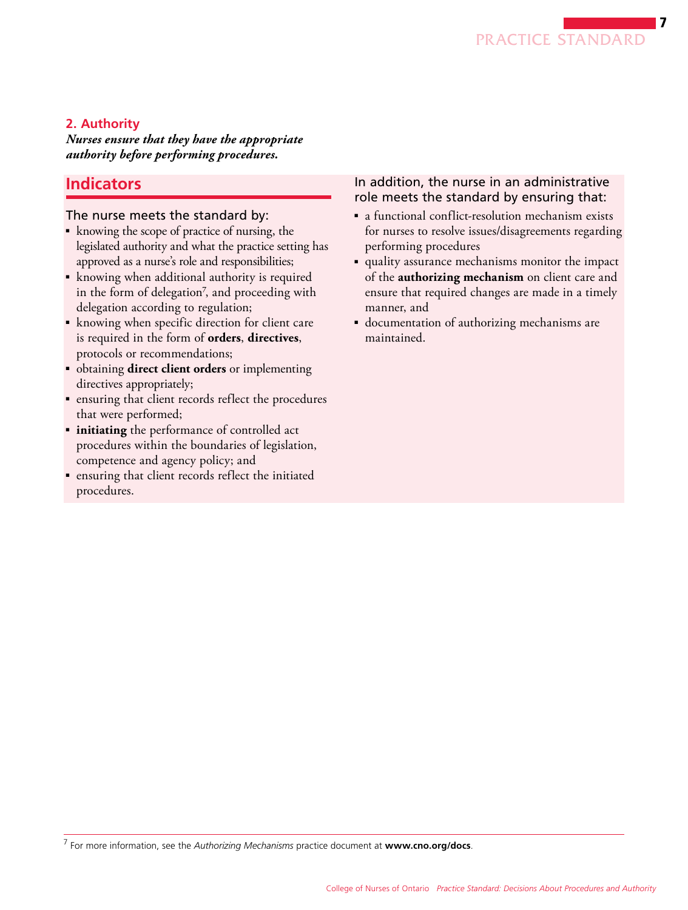

### **2. Authority**

*Nurses ensure that they have the appropriate authority before performing procedures.*

# **Indicators**

#### The nurse meets the standard by:

- knowing the scope of practice of nursing, the legislated authority and what the practice setting has approved as a nurse's role and responsibilities;
- knowing when additional authority is required in the form of delegation<sup>7</sup>, and proceeding with delegation according to regulation;
- knowing when specific direction for client care is required in the form of **orders**, **directives**, protocols or recommendations;
- obtaining **direct client orders** or implementing directives appropriately;
- ensuring that client records reflect the procedures that were performed;
- **initiating** the performance of controlled act procedures within the boundaries of legislation, competence and agency policy; and
- ensuring that client records reflect the initiated procedures.

#### In addition, the nurse in an administrative role meets the standard by ensuring that:

- a functional conflict-resolution mechanism exists for nurses to resolve issues/disagreements regarding performing procedures
- quality assurance mechanisms monitor the impact of the **authorizing mechanism** on client care and ensure that required changes are made in a timely manner, and
- documentation of authorizing mechanisms are maintained.

<sup>7</sup> For more information, see the *Authorizing Mechanisms* practice document at **www.cno.org/docs**.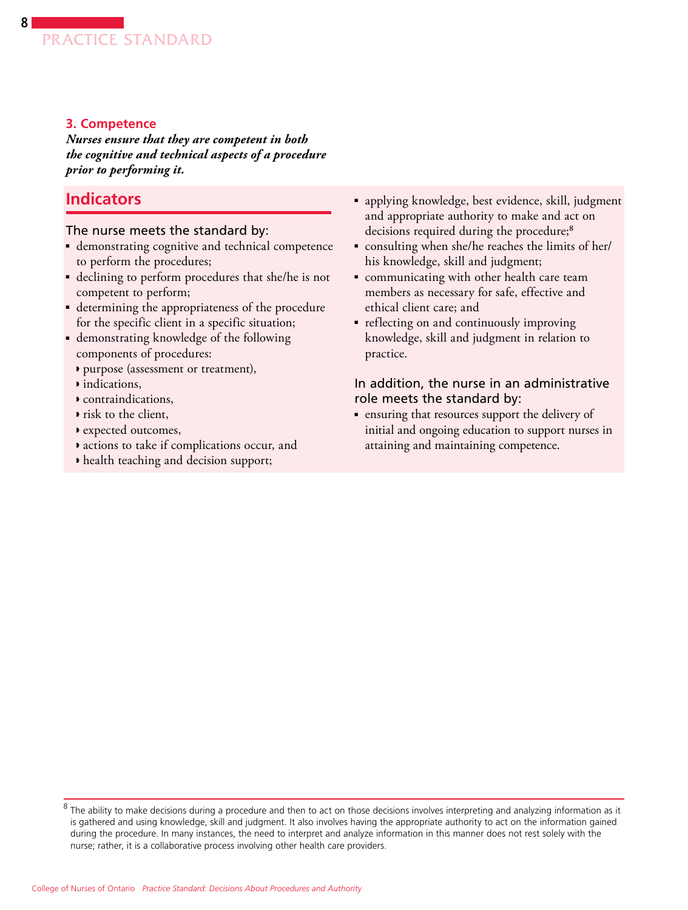### **3. Competence**

*Nurses ensure that they are competent in both the cognitive and technical aspects of a procedure prior to performing it.*

# **Indicators**

The nurse meets the standard by:

- demonstrating cognitive and technical competence to perform the procedures;
- declining to perform procedures that she/he is not competent to perform;
- determining the appropriateness of the procedure for the specific client in a specific situation;
- demonstrating knowledge of the following components of procedures:
	- ◗ purpose (assessment or treatment),
	- ◗ indications,
	- ◗ contraindications,
	- ◗ risk to the client,
	- ◗ expected outcomes,
	- ◗ actions to take if complications occur, and
	- ◗ health teaching and decision support;
- applying knowledge, best evidence, skill, judgment and appropriate authority to make and act on decisions required during the procedure;<sup>8</sup>
- consulting when she/he reaches the limits of her/ his knowledge, skill and judgment;
- communicating with other health care team members as necessary for safe, effective and ethical client care; and
- reflecting on and continuously improving knowledge, skill and judgment in relation to practice.

#### In addition, the nurse in an administrative role meets the standard by:

■ ensuring that resources support the delivery of initial and ongoing education to support nurses in attaining and maintaining competence.

 $8$  The ability to make decisions during a procedure and then to act on those decisions involves interpreting and analyzing information as it is gathered and using knowledge, skill and judgment. It also involves having the appropriate authority to act on the information gained during the procedure. In many instances, the need to interpret and analyze information in this manner does not rest solely with the nurse; rather, it is a collaborative process involving other health care providers.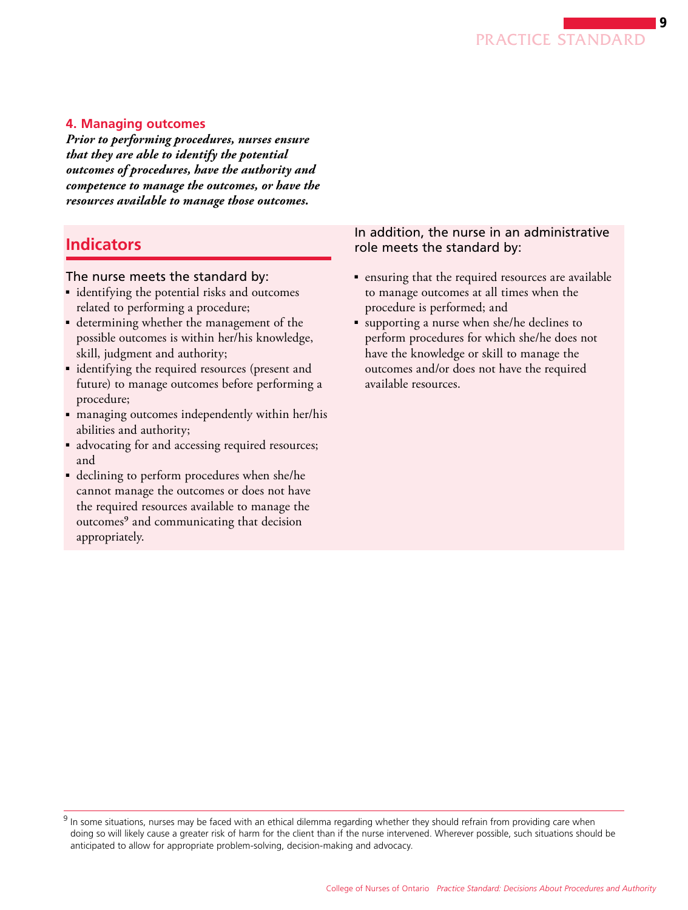

#### **4. Managing outcomes**

*Prior to performing procedures, nurses ensure that they are able to identify the potential outcomes of procedures, have the authority and competence to manage the outcomes, or have the resources available to manage those outcomes.*

# **Indicators**

#### The nurse meets the standard by:

- identifying the potential risks and outcomes related to performing a procedure;
- determining whether the management of the possible outcomes is within her/his knowledge, skill, judgment and authority;
- identifying the required resources (present and future) to manage outcomes before performing a procedure;
- managing outcomes independently within her/his abilities and authority;
- advocating for and accessing required resources; and
- declining to perform procedures when she/he cannot manage the outcomes or does not have the required resources available to manage the outcomes<sup>9</sup> and communicating that decision appropriately.

#### In addition, the nurse in an administrative role meets the standard by:

- ensuring that the required resources are available to manage outcomes at all times when the procedure is performed; and
- supporting a nurse when she/he declines to perform procedures for which she/he does not have the knowledge or skill to manage the outcomes and/or does not have the required available resources.

 $9$  In some situations, nurses may be faced with an ethical dilemma regarding whether they should refrain from providing care when doing so will likely cause a greater risk of harm for the client than if the nurse intervened. Wherever possible, such situations should be anticipated to allow for appropriate problem-solving, decision-making and advocacy.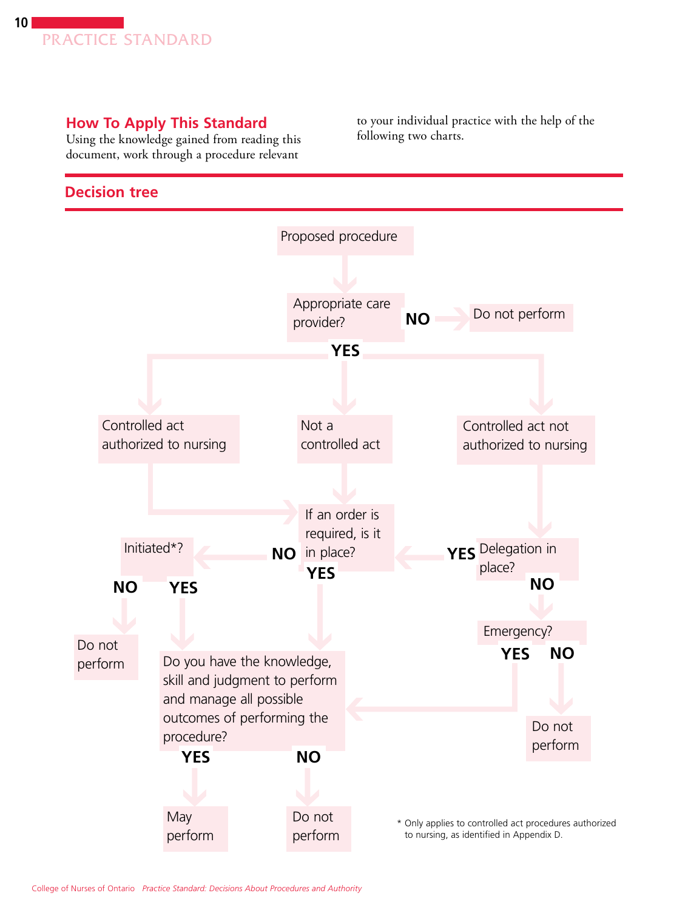

# **How To Apply This Standard**

Using the knowledge gained from reading this document, work through a procedure relevant

# **Decision tree**

to your individual practice with the help of the following two charts.

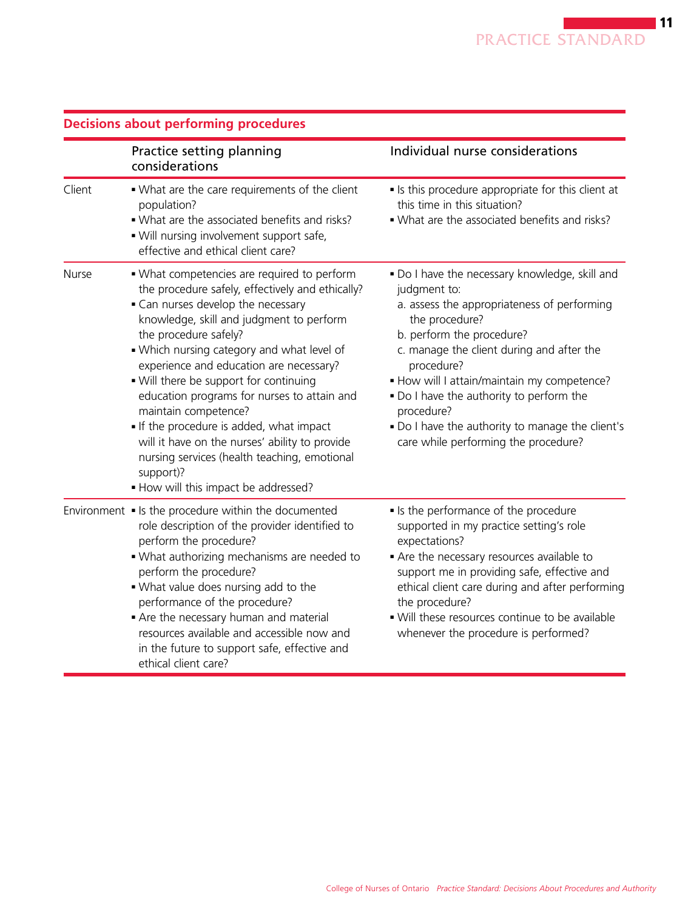|        | Practice setting planning<br>considerations                                                                                                                                                                                                                                                                                                                                                                                                                                                                                                                                                                           | Individual nurse considerations                                                                                                                                                                                                                                                                                                                                                                                              |  |
|--------|-----------------------------------------------------------------------------------------------------------------------------------------------------------------------------------------------------------------------------------------------------------------------------------------------------------------------------------------------------------------------------------------------------------------------------------------------------------------------------------------------------------------------------------------------------------------------------------------------------------------------|------------------------------------------------------------------------------------------------------------------------------------------------------------------------------------------------------------------------------------------------------------------------------------------------------------------------------------------------------------------------------------------------------------------------------|--|
| Client | • What are the care requirements of the client<br>population?<br>. What are the associated benefits and risks?<br>. Will nursing involvement support safe,<br>effective and ethical client care?                                                                                                                                                                                                                                                                                                                                                                                                                      | Is this procedure appropriate for this client at<br>this time in this situation?<br>. What are the associated benefits and risks?                                                                                                                                                                                                                                                                                            |  |
| Nurse  | • What competencies are required to perform<br>the procedure safely, effectively and ethically?<br>• Can nurses develop the necessary<br>knowledge, skill and judgment to perform<br>the procedure safely?<br>. Which nursing category and what level of<br>experience and education are necessary?<br>. Will there be support for continuing<br>education programs for nurses to attain and<br>maintain competence?<br>If the procedure is added, what impact<br>will it have on the nurses' ability to provide<br>nursing services (health teaching, emotional<br>support)?<br>. How will this impact be addressed? | . Do I have the necessary knowledge, skill and<br>judgment to:<br>a. assess the appropriateness of performing<br>the procedure?<br>b. perform the procedure?<br>c. manage the client during and after the<br>procedure?<br>. How will I attain/maintain my competence?<br>. Do I have the authority to perform the<br>procedure?<br>. Do I have the authority to manage the client's<br>care while performing the procedure? |  |
|        | Environment • Is the procedure within the documented<br>role description of the provider identified to<br>perform the procedure?<br>. What authorizing mechanisms are needed to<br>perform the procedure?<br>. What value does nursing add to the<br>performance of the procedure?<br>Are the necessary human and material<br>resources available and accessible now and<br>in the future to support safe, effective and<br>ethical client care?                                                                                                                                                                      | Is the performance of the procedure<br>supported in my practice setting's role<br>expectations?<br>Are the necessary resources available to<br>support me in providing safe, effective and<br>ethical client care during and after performing<br>the procedure?<br>. Will these resources continue to be available<br>whenever the procedure is performed?                                                                   |  |

# **Decisions about performing procedures**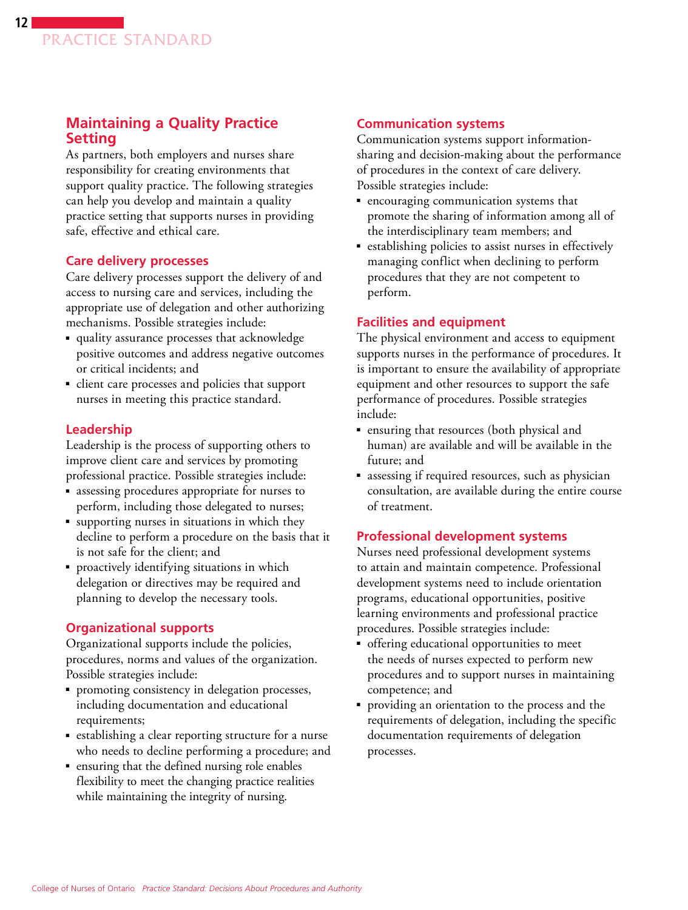# **Maintaining a Quality Practice Setting**

As partners, both employers and nurses share responsibility for creating environments that support quality practice. The following strategies can help you develop and maintain a quality practice setting that supports nurses in providing safe, effective and ethical care.

### **Care delivery processes**

Care delivery processes support the delivery of and access to nursing care and services, including the appropriate use of delegation and other authorizing mechanisms. Possible strategies include:

- quality assurance processes that acknowledge positive outcomes and address negative outcomes or critical incidents; and
- client care processes and policies that support nurses in meeting this practice standard.

# **Leadership**

Leadership is the process of supporting others to improve client care and services by promoting professional practice. Possible strategies include:

- assessing procedures appropriate for nurses to perform, including those delegated to nurses;
- supporting nurses in situations in which they decline to perform a procedure on the basis that it is not safe for the client; and
- proactively identifying situations in which delegation or directives may be required and planning to develop the necessary tools.

# **Organizational supports**

Organizational supports include the policies, procedures, norms and values of the organization. Possible strategies include:

- promoting consistency in delegation processes, including documentation and educational requirements;
- establishing a clear reporting structure for a nurse who needs to decline performing a procedure; and
- ensuring that the defined nursing role enables flexibility to meet the changing practice realities while maintaining the integrity of nursing.

# **Communication systems**

Communication systems support informationsharing and decision-making about the performance of procedures in the context of care delivery. Possible strategies include:

- encouraging communication systems that promote the sharing of information among all of the interdisciplinary team members; and
- establishing policies to assist nurses in effectively managing conflict when declining to perform procedures that they are not competent to perform.

# **Facilities and equipment**

The physical environment and access to equipment supports nurses in the performance of procedures. It is important to ensure the availability of appropriate equipment and other resources to support the safe performance of procedures. Possible strategies include:

- ensuring that resources (both physical and human) are available and will be available in the future; and
- assessing if required resources, such as physician consultation, are available during the entire course of treatment.

### **Professional development systems**

Nurses need professional development systems to attain and maintain competence. Professional development systems need to include orientation programs, educational opportunities, positive learning environments and professional practice procedures. Possible strategies include:

- offering educational opportunities to meet the needs of nurses expected to perform new procedures and to support nurses in maintaining competence; and
- providing an orientation to the process and the requirements of delegation, including the specific documentation requirements of delegation processes.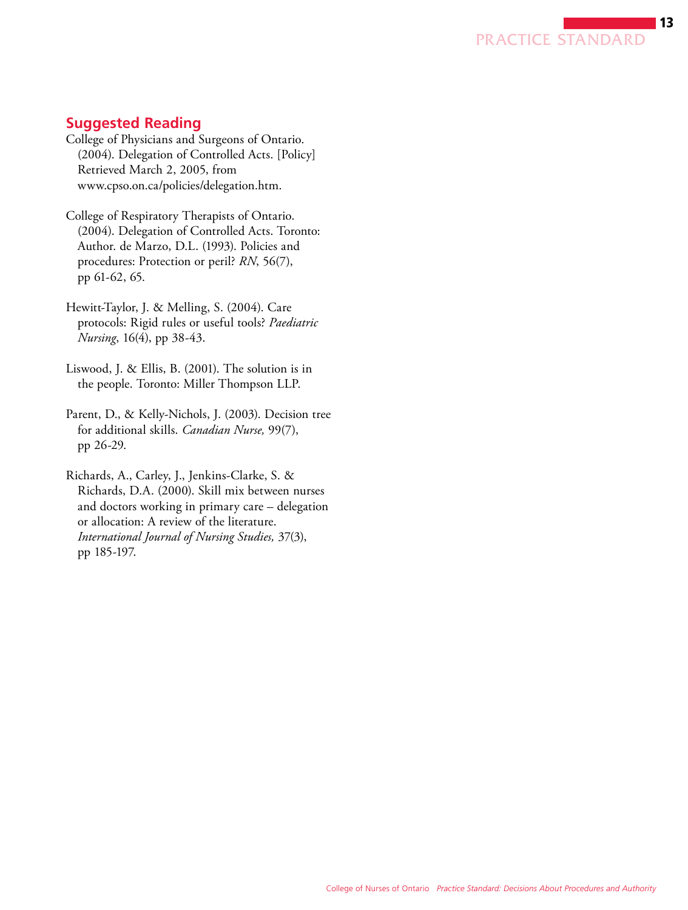

# **Suggested Reading**

- College of Physicians and Surgeons of Ontario. (2004). Delegation of Controlled Acts. [Policy] Retrieved March 2, 2005, from www.cpso.on.ca/policies/delegation.htm.
- College of Respiratory Therapists of Ontario. (2004). Delegation of Controlled Acts. Toronto: Author. de Marzo, D.L. (1993). Policies and procedures: Protection or peril? *RN*, 56(7), pp 61-62, 65.
- Hewitt-Taylor, J. & Melling, S. (2004). Care protocols: Rigid rules or useful tools? *Paediatric Nursing*, 16(4), pp 38-43.
- Liswood, J. & Ellis, B. (2001). The solution is in the people. Toronto: Miller Thompson LLP.
- Parent, D., & Kelly-Nichols, J. (2003). Decision tree for additional skills. *Canadian Nurse,* 99(7), pp 26-29.
- Richards, A., Carley, J., Jenkins-Clarke, S. & Richards, D.A. (2000). Skill mix between nurses and doctors working in primary care – delegation or allocation: A review of the literature. *International Journal of Nursing Studies,* 37(3), pp 185-197.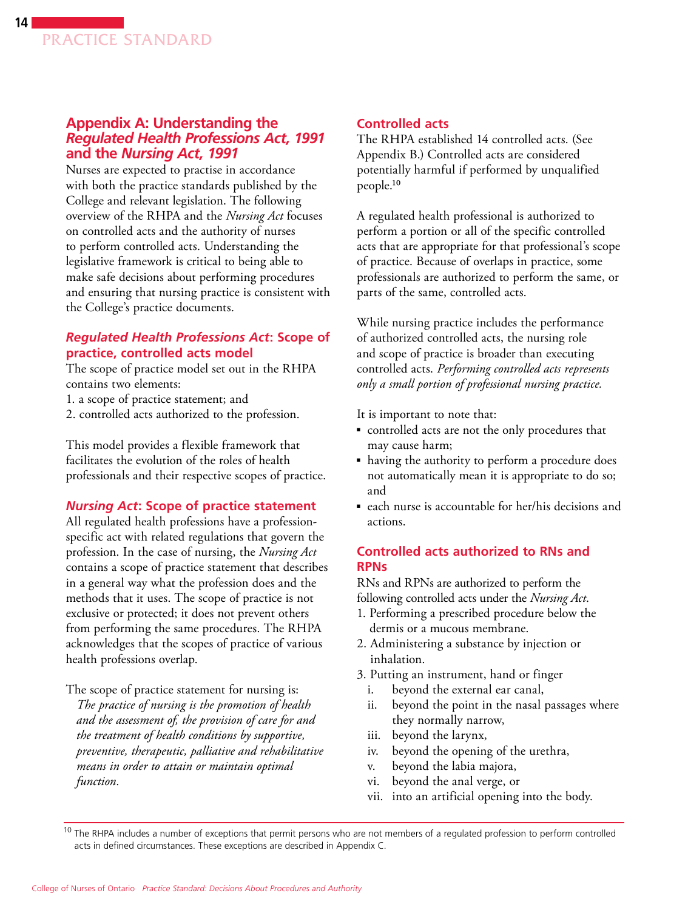### **Appendix A: Understanding the**  *Regulated Health Professions Act, 1991* **and the** *Nursing Act, 1991*

Nurses are expected to practise in accordance with both the practice standards published by the College and relevant legislation. The following overview of the RHPA and the *Nursing Act* focuses on controlled acts and the authority of nurses to perform controlled acts. Understanding the legislative framework is critical to being able to make safe decisions about performing procedures and ensuring that nursing practice is consistent with the College's practice documents.

### *Regulated Health Professions Act***: Scope of practice, controlled acts model**

The scope of practice model set out in the RHPA contains two elements:

- 1. a scope of practice statement; and
- 2. controlled acts authorized to the profession.

This model provides a flexible framework that facilitates the evolution of the roles of health professionals and their respective scopes of practice.

#### *Nursing Act***: Scope of practice statement**

All regulated health professions have a professionspecific act with related regulations that govern the profession. In the case of nursing, the *Nursing Act*  contains a scope of practice statement that describes in a general way what the profession does and the methods that it uses. The scope of practice is not exclusive or protected; it does not prevent others from performing the same procedures. The RHPA acknowledges that the scopes of practice of various health professions overlap.

The scope of practice statement for nursing is: *The practice of nursing is the promotion of health and the assessment of, the provision of care for and the treatment of health conditions by supportive, preventive, therapeutic, palliative and rehabilitative means in order to attain or maintain optimal function.* 

#### **Controlled acts**

The RHPA established 14 controlled acts. (See Appendix B.) Controlled acts are considered potentially harmful if performed by unqualified people.10

A regulated health professional is authorized to perform a portion or all of the specific controlled acts that are appropriate for that professional's scope of practice. Because of overlaps in practice, some professionals are authorized to perform the same, or parts of the same, controlled acts.

While nursing practice includes the performance of authorized controlled acts, the nursing role and scope of practice is broader than executing controlled acts. *Performing controlled acts represents only a small portion of professional nursing practice.*

It is important to note that:

- controlled acts are not the only procedures that may cause harm;
- having the authority to perform a procedure does not automatically mean it is appropriate to do so; and
- each nurse is accountable for her/his decisions and actions.

### **Controlled acts authorized to RNs and RPNs**

RNs and RPNs are authorized to perform the following controlled acts under the *Nursing Act*.

- 1. Performing a prescribed procedure below the dermis or a mucous membrane.
- 2. Administering a substance by injection or inhalation.
- 3. Putting an instrument, hand or finger
	- i. beyond the external ear canal,
	- ii. beyond the point in the nasal passages where they normally narrow,
	- iii. beyond the larynx,
	- iv. beyond the opening of the urethra,
	- v. beyond the labia majora,
	- vi. beyond the anal verge, or
	- into an artificial opening into the body.

 $10$  The RHPA includes a number of exceptions that permit persons who are not members of a regulated profession to perform controlled acts in defined circumstances. These exceptions are described in Appendix C.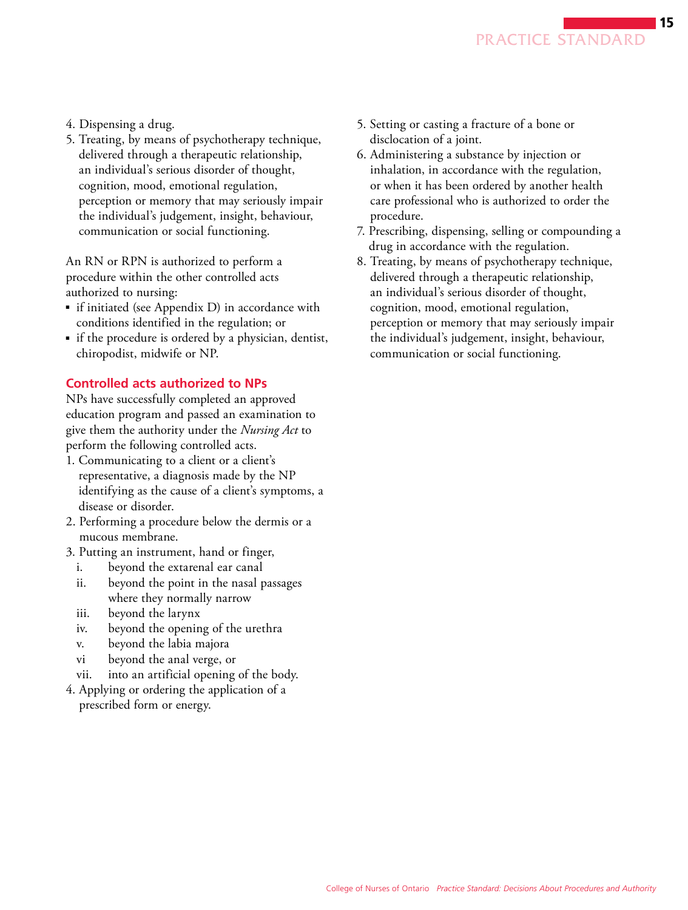- 4. Dispensing a drug.
- 5. Treating, by means of psychotherapy technique, delivered through a therapeutic relationship, an individual's serious disorder of thought, cognition, mood, emotional regulation, perception or memory that may seriously impair the individual's judgement, insight, behaviour, communication or social functioning.

An RN or RPN is authorized to perform a procedure within the other controlled acts authorized to nursing:

- if initiated (see Appendix D) in accordance with conditions identified in the regulation; or
- if the procedure is ordered by a physician, dentist, chiropodist, midwife or NP.

#### **Controlled acts authorized to NPs**

NPs have successfully completed an approved education program and passed an examination to give them the authority under the *Nursing Act* to perform the following controlled acts.

- 1. Communicating to a client or a client's representative, a diagnosis made by the NP identifying as the cause of a client's symptoms, a disease or disorder.
- 2. Performing a procedure below the dermis or a mucous membrane.
- 3. Putting an instrument, hand or finger,
	- i. beyond the extarenal ear canal
	- ii. beyond the point in the nasal passages where they normally narrow
	- iii. beyond the larynx
	- iv. beyond the opening of the urethra
	- v. beyond the labia majora
	- vi beyond the anal verge, or
	- vii. into an artificial opening of the body.
- 4. Applying or ordering the application of a prescribed form or energy.
- 5. Setting or casting a fracture of a bone or disclocation of a joint.
- 6. Administering a substance by injection or inhalation, in accordance with the regulation, or when it has been ordered by another health care professional who is authorized to order the procedure.
- 7. Prescribing, dispensing, selling or compounding a drug in accordance with the regulation.
- 8. Treating, by means of psychotherapy technique, delivered through a therapeutic relationship, an individual's serious disorder of thought, cognition, mood, emotional regulation, perception or memory that may seriously impair the individual's judgement, insight, behaviour, communication or social functioning.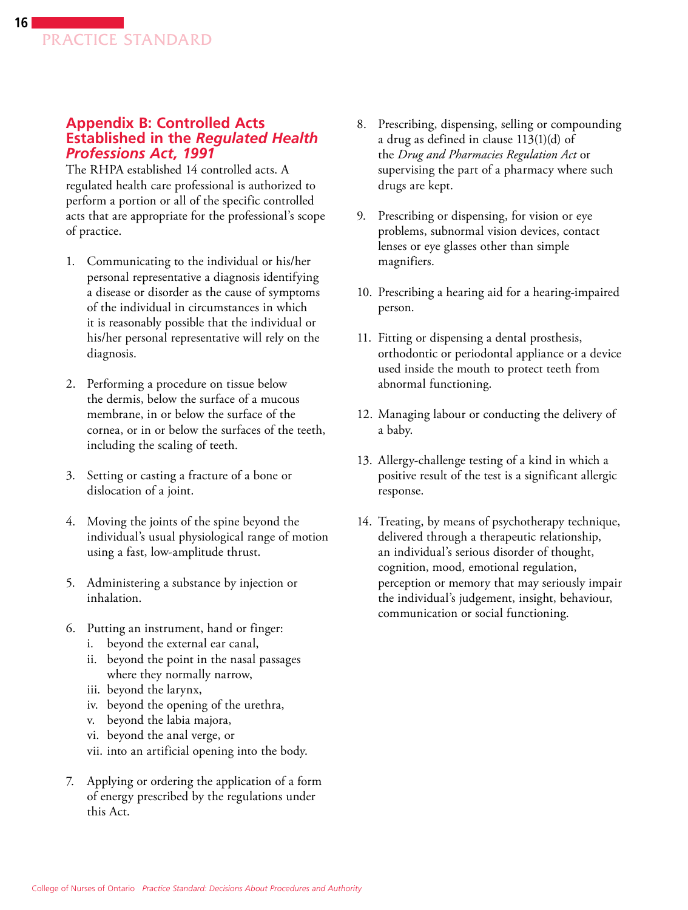### **Appendix B: Controlled Acts Established in the** *Regulated Health Professions Act, 1991*

The RHPA established 14 controlled acts. A regulated health care professional is authorized to perform a portion or all of the specific controlled acts that are appropriate for the professional's scope of practice.

- 1. Communicating to the individual or his/her personal representative a diagnosis identifying a disease or disorder as the cause of symptoms of the individual in circumstances in which it is reasonably possible that the individual or his/her personal representative will rely on the diagnosis.
- 2. Performing a procedure on tissue below the dermis, below the surface of a mucous membrane, in or below the surface of the cornea, or in or below the surfaces of the teeth, including the scaling of teeth.
- 3. Setting or casting a fracture of a bone or dislocation of a joint.
- 4. Moving the joints of the spine beyond the individual's usual physiological range of motion using a fast, low-amplitude thrust.
- 5. Administering a substance by injection or inhalation.
- 6. Putting an instrument, hand or finger:
	- i. beyond the external ear canal,
	- ii. beyond the point in the nasal passages where they normally narrow,
	- iii. beyond the larynx,
	- iv. beyond the opening of the urethra,
	- v. beyond the labia majora,
	- vi. beyond the anal verge, or
	- vii. into an artificial opening into the body.
- 7. Applying or ordering the application of a form of energy prescribed by the regulations under this Act.
- 8. Prescribing, dispensing, selling or compounding a drug as defined in clause 113(1)(d) of the *Drug and Pharmacies Regulation Act* or supervising the part of a pharmacy where such drugs are kept.
- 9. Prescribing or dispensing, for vision or eye problems, subnormal vision devices, contact lenses or eye glasses other than simple magnifiers.
- 10. Prescribing a hearing aid for a hearing-impaired person.
- 11. Fitting or dispensing a dental prosthesis, orthodontic or periodontal appliance or a device used inside the mouth to protect teeth from abnormal functioning.
- 12. Managing labour or conducting the delivery of a baby.
- 13. Allergy-challenge testing of a kind in which a positive result of the test is a significant allergic response.
- 14. Treating, by means of psychotherapy technique, delivered through a therapeutic relationship, an individual's serious disorder of thought, cognition, mood, emotional regulation, perception or memory that may seriously impair the individual's judgement, insight, behaviour, communication or social functioning.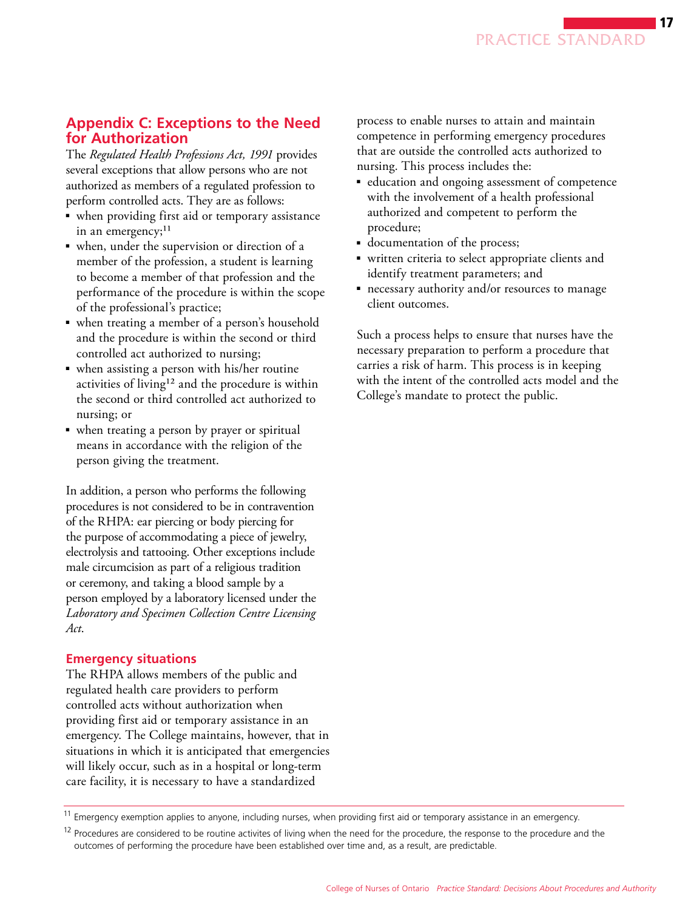# **Appendix C: Exceptions to the Need for Authorization**

The *Regulated Health Professions Act, 1991* provides several exceptions that allow persons who are not authorized as members of a regulated profession to perform controlled acts. They are as follows:

- when providing first aid or temporary assistance in an emergency;<sup>11</sup>
- when, under the supervision or direction of a member of the profession, a student is learning to become a member of that profession and the performance of the procedure is within the scope of the professional's practice;
- when treating a member of a person's household and the procedure is within the second or third controlled act authorized to nursing;
- when assisting a person with his/her routine activities of living<sup>12</sup> and the procedure is within the second or third controlled act authorized to nursing; or
- when treating a person by prayer or spiritual means in accordance with the religion of the person giving the treatment.

In addition, a person who performs the following procedures is not considered to be in contravention of the RHPA: ear piercing or body piercing for the purpose of accommodating a piece of jewelry, electrolysis and tattooing. Other exceptions include male circumcision as part of a religious tradition or ceremony, and taking a blood sample by a person employed by a laboratory licensed under the *Laboratory and Specimen Collection Centre Licensing Act*.

# **Emergency situations**

The RHPA allows members of the public and regulated health care providers to perform controlled acts without authorization when providing first aid or temporary assistance in an emergency. The College maintains, however, that in situations in which it is anticipated that emergencies will likely occur, such as in a hospital or long-term care facility, it is necessary to have a standardized

process to enable nurses to attain and maintain competence in performing emergency procedures that are outside the controlled acts authorized to nursing. This process includes the:

- education and ongoing assessment of competence with the involvement of a health professional authorized and competent to perform the procedure;
- documentation of the process;
- written criteria to select appropriate clients and identify treatment parameters; and
- necessary authority and/or resources to manage client outcomes.

Such a process helps to ensure that nurses have the necessary preparation to perform a procedure that carries a risk of harm. This process is in keeping with the intent of the controlled acts model and the College's mandate to protect the public.

<sup>&</sup>lt;sup>11</sup> Emergency exemption applies to anyone, including nurses, when providing first aid or temporary assistance in an emergency.

 $12$  Procedures are considered to be routine activites of living when the need for the procedure, the response to the procedure and the outcomes of performing the procedure have been established over time and, as a result, are predictable.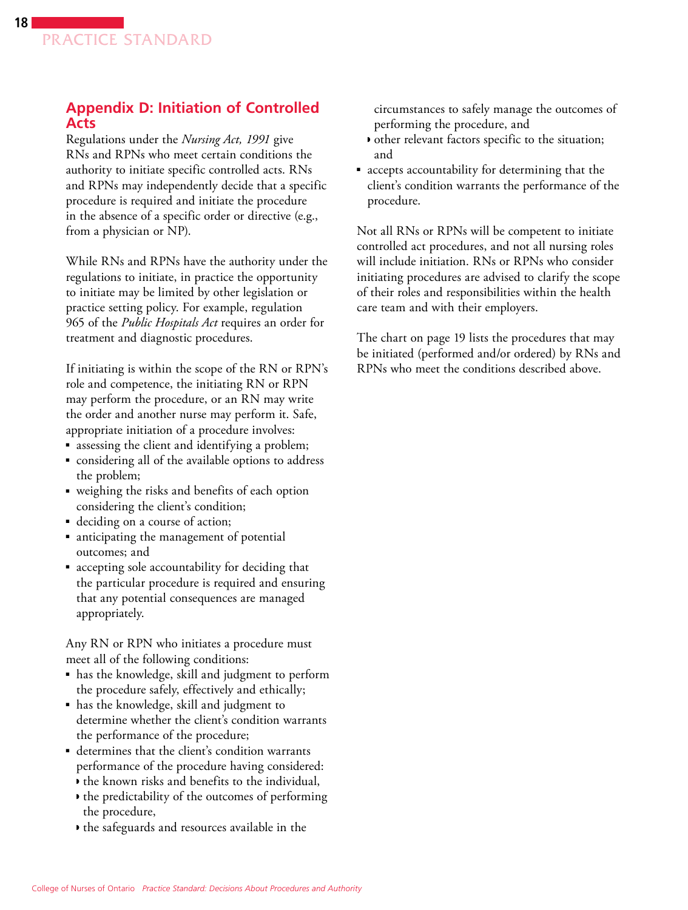# **Appendix D: Initiation of Controlled Acts**

Regulations under the *Nursing Act, 1991* give RNs and RPNs who meet certain conditions the authority to initiate specific controlled acts. RNs and RPNs may independently decide that a specific procedure is required and initiate the procedure in the absence of a specific order or directive (e.g., from a physician or NP).

While RNs and RPNs have the authority under the regulations to initiate, in practice the opportunity to initiate may be limited by other legislation or practice setting policy. For example, regulation 965 of the *Public Hospitals Act* requires an order for treatment and diagnostic procedures.

If initiating is within the scope of the RN or RPN's role and competence, the initiating RN or RPN may perform the procedure, or an RN may write the order and another nurse may perform it. Safe, appropriate initiation of a procedure involves:

- assessing the client and identifying a problem;
- considering all of the available options to address the problem;
- weighing the risks and benefits of each option considering the client's condition;
- deciding on a course of action;
- anticipating the management of potential outcomes; and
- accepting sole accountability for deciding that the particular procedure is required and ensuring that any potential consequences are managed appropriately.

Any RN or RPN who initiates a procedure must meet all of the following conditions:

- has the knowledge, skill and judgment to perform the procedure safely, effectively and ethically;
- has the knowledge, skill and judgment to determine whether the client's condition warrants the performance of the procedure;
- determines that the client's condition warrants performance of the procedure having considered:
	- ◗ the known risks and benefits to the individual,
	- ◗ the predictability of the outcomes of performing the procedure,
	- ◗ the safeguards and resources available in the

circumstances to safely manage the outcomes of performing the procedure, and

- ◗ other relevant factors specific to the situation; and
- accepts accountability for determining that the client's condition warrants the performance of the procedure.

Not all RNs or RPNs will be competent to initiate controlled act procedures, and not all nursing roles will include initiation. RNs or RPNs who consider initiating procedures are advised to clarify the scope of their roles and responsibilities within the health care team and with their employers.

The chart on page 19 lists the procedures that may be initiated (performed and/or ordered) by RNs and RPNs who meet the conditions described above.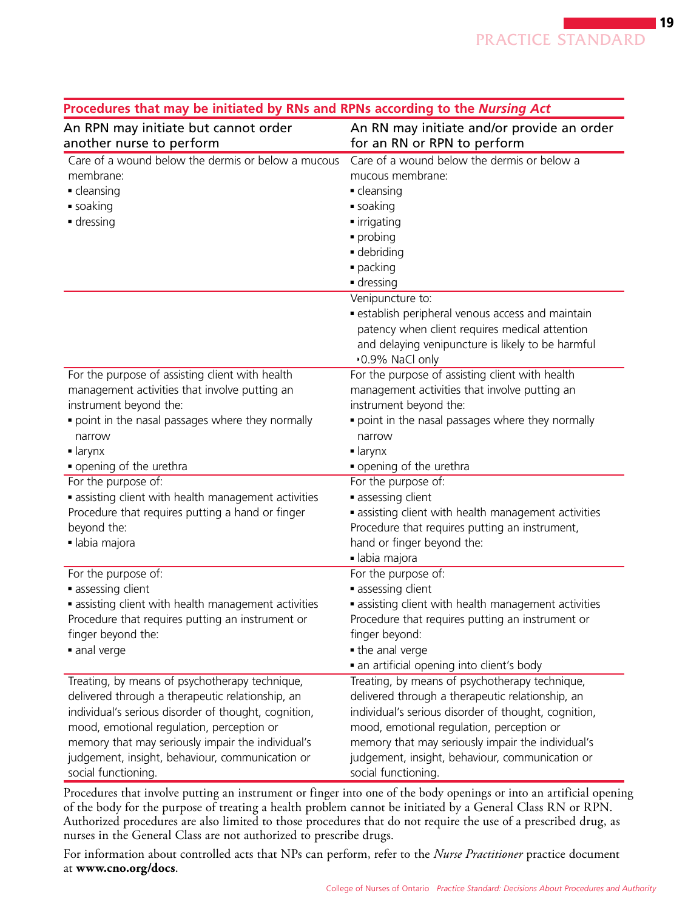| roceaures that may be initiated by nits and ni its according to the marsing Act<br>An RPN may initiate but cannot order | An RN may initiate and/or provide an order                   |
|-------------------------------------------------------------------------------------------------------------------------|--------------------------------------------------------------|
| another nurse to perform                                                                                                | for an RN or RPN to perform                                  |
| Care of a wound below the dermis or below a mucous                                                                      | Care of a wound below the dermis or below a                  |
| membrane:                                                                                                               | mucous membrane:                                             |
| • cleansing                                                                                                             | • cleansing                                                  |
| ■ soaking                                                                                                               | ■ soaking                                                    |
| dressing                                                                                                                | • irrigating                                                 |
|                                                                                                                         | · probing                                                    |
|                                                                                                                         | · debriding                                                  |
|                                                                                                                         | · packing                                                    |
|                                                                                                                         | ■ dressing                                                   |
|                                                                                                                         | Venipuncture to:                                             |
|                                                                                                                         | establish peripheral venous access and maintain              |
|                                                                                                                         | patency when client requires medical attention               |
|                                                                                                                         | and delaying venipuncture is likely to be harmful            |
|                                                                                                                         | •0.9% NaCl only                                              |
| For the purpose of assisting client with health                                                                         | For the purpose of assisting client with health              |
| management activities that involve putting an                                                                           | management activities that involve putting an                |
| instrument beyond the:                                                                                                  | instrument beyond the:                                       |
| point in the nasal passages where they normally                                                                         | point in the nasal passages where they normally              |
| narrow                                                                                                                  | narrow                                                       |
| $\blacksquare$ larynx                                                                                                   | $\blacksquare$ larynx                                        |
| opening of the urethra                                                                                                  | • opening of the urethra                                     |
| For the purpose of:                                                                                                     | For the purpose of:                                          |
| • assisting client with health management activities                                                                    | assessing client                                             |
| Procedure that requires putting a hand or finger                                                                        | • assisting client with health management activities         |
| beyond the:                                                                                                             | Procedure that requires putting an instrument,               |
| · labia majora                                                                                                          | hand or finger beyond the:                                   |
|                                                                                                                         | · labia majora                                               |
| For the purpose of:                                                                                                     | For the purpose of:                                          |
| assessing client                                                                                                        | assessing client                                             |
| • assisting client with health management activities                                                                    | • assisting client with health management activities         |
| Procedure that requires putting an instrument or                                                                        | Procedure that requires putting an instrument or             |
| finger beyond the:                                                                                                      | finger beyond:                                               |
| anal verge                                                                                                              | the anal verge<br>• an artificial opening into client's body |
| Treating, by means of psychotherapy technique,                                                                          | Treating, by means of psychotherapy technique,               |
| delivered through a therapeutic relationship, an                                                                        | delivered through a therapeutic relationship, an             |
| individual's serious disorder of thought, cognition,                                                                    | individual's serious disorder of thought, cognition,         |
| mood, emotional regulation, perception or                                                                               | mood, emotional regulation, perception or                    |
| memory that may seriously impair the individual's                                                                       | memory that may seriously impair the individual's            |
| judgement, insight, behaviour, communication or                                                                         | judgement, insight, behaviour, communication or              |
| social functioning.                                                                                                     | social functioning.                                          |

#### **Procedures that may be initiated by RNs and RPNs according to the** *Nursing Act*

Procedures that involve putting an instrument or finger into one of the body openings or into an artificial opening of the body for the purpose of treating a health problem cannot be initiated by a General Class RN or RPN. Authorized procedures are also limited to those procedures that do not require the use of a prescribed drug, as nurses in the General Class are not authorized to prescribe drugs.

For information about controlled acts that NPs can perform, refer to the *Nurse Practitioner* practice document at **www.cno.org/docs**.